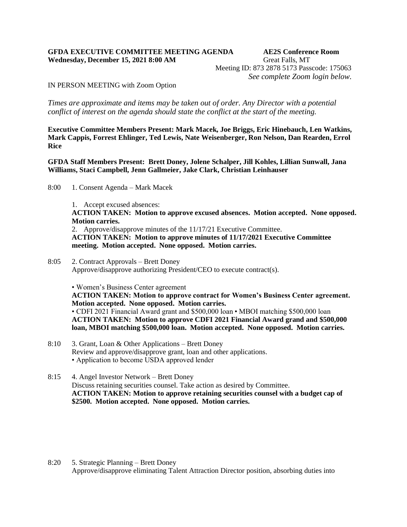## **GFDA EXECUTIVE COMMITTEE MEETING AGENDA AE2S Conference Room Wednesday, December 15, 2021 8:00 AM Great Falls, MT**

Meeting ID: 873 2878 5173 Passcode: 175063 *See complete Zoom login below.*

IN PERSON MEETING with Zoom Option

*Times are approximate and items may be taken out of order. Any Director with a potential conflict of interest on the agenda should state the conflict at the start of the meeting.* 

**Executive Committee Members Present: Mark Macek, Joe Briggs, Eric Hinebauch, Len Watkins, Mark Cappis, Forrest Ehlinger, Ted Lewis, Nate Weisenberger, Ron Nelson, Dan Rearden, Errol Rice**

**GFDA Staff Members Present: Brett Doney, Jolene Schalper, Jill Kohles, Lillian Sunwall, Jana Williams, Staci Campbell, Jenn Gallmeier, Jake Clark, Christian Leinhauser**

- 8:00 1. Consent Agenda Mark Macek
	- 1. Accept excused absences:

**ACTION TAKEN: Motion to approve excused absences. Motion accepted. None opposed. Motion carries.** 

2. Approve/disapprove minutes of the 11/17/21 Executive Committee. **ACTION TAKEN: Motion to approve minutes of 11/17/2021 Executive Committee meeting. Motion accepted. None opposed. Motion carries.**

8:05 2. Contract Approvals – Brett Doney Approve/disapprove authorizing President/CEO to execute contract(s).

• Women's Business Center agreement

**ACTION TAKEN: Motion to approve contract for Women's Business Center agreement. Motion accepted. None opposed. Motion carries.**

• CDFI 2021 Financial Award grant and \$500,000 loan • MBOI matching \$500,000 loan **ACTION TAKEN: Motion to approve CDFI 2021 Financial Award grand and \$500,000 loan, MBOI matching \$500,000 loan. Motion accepted. None opposed. Motion carries.**

- 8:10 3. Grant, Loan & Other Applications Brett Doney Review and approve/disapprove grant, loan and other applications. • Application to become USDA approved lender
- 8:15 4. Angel Investor Network Brett Doney Discuss retaining securities counsel. Take action as desired by Committee. **ACTION TAKEN: Motion to approve retaining securities counsel with a budget cap of \$2500. Motion accepted. None opposed. Motion carries.**

8:20 5. Strategic Planning – Brett Doney Approve/disapprove eliminating Talent Attraction Director position, absorbing duties into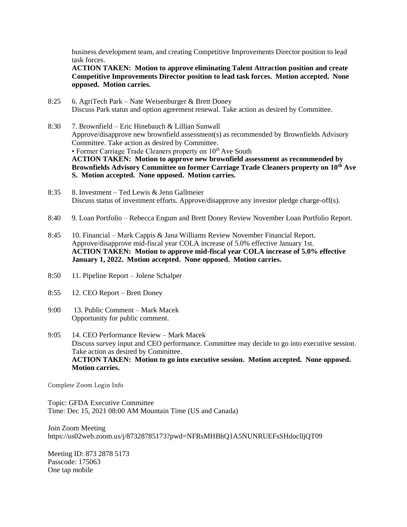business development team, and creating Competitive Improvements Director position to lead task forces.

**ACTION TAKEN: Motion to approve eliminating Talent Attraction position and create Competitive Improvements Director position to lead task forces. Motion accepted. None opposed. Motion carries.**

- 8:25 6. AgriTech Park Nate Weisenburger & Brett Doney Discuss Park status and option agreement renewal. Take action as desired by Committee.
- 8:30 7. Brownfield Eric Hinebauch & Lillian Sunwall Approve/disapprove new brownfield assessment(s) as recommended by Brownfields Advisory Committee. Take action as desired by Committee. • Former Carriage Trade Cleaners property on  $10<sup>th</sup>$  Ave South **ACTION TAKEN: Motion to approve new brownfield assessment as recommended by Brownfields Advisory Committee on former Carriage Trade Cleaners property on 10th Ave S. Motion accepted. None opposed. Motion carries.**
- 8:35 8. Investment Ted Lewis & Jenn Gallmeier Discuss status of investment efforts. Approve/disapprove any investor pledge charge-off(s).
- 8:40 9. Loan Portfolio Rebecca Engum and Brett Doney Review November Loan Portfolio Report.
- 8:45 10. Financial Mark Cappis & Jana Williams Review November Financial Report. Approve/disapprove mid-fiscal year COLA increase of 5.0% effective January 1st. **ACTION TAKEN: Motion to approve mid-fiscal year COLA increase of 5.0% effective January 1, 2022. Motion accepted. None opposed. Motion carries.**
- 8:50 11. Pipeline Report Jolene Schalper
- 8:55 12. CEO Report Brett Doney
- 9:00 13. Public Comment Mark Macek Opportunity for public comment.
- 9:05 14. CEO Performance Review Mark Macek Discuss survey input and CEO performance. Committee may decide to go into executive session. Take action as desired by Committee. **ACTION TAKEN: Motion to go into executive session. Motion accepted. None opposed. Motion carries.**

Complete Zoom Login Info

Topic: GFDA Executive Committee Time: Dec 15, 2021 08:00 AM Mountain Time (US and Canada)

Join Zoom Meeting https://us02web.zoom.us/j/87328785173?pwd=NFRsMHBhQ1A5NUNRUEFsSHdoclljQT09

Meeting ID: 873 2878 5173 Passcode: 175063 One tap mobile